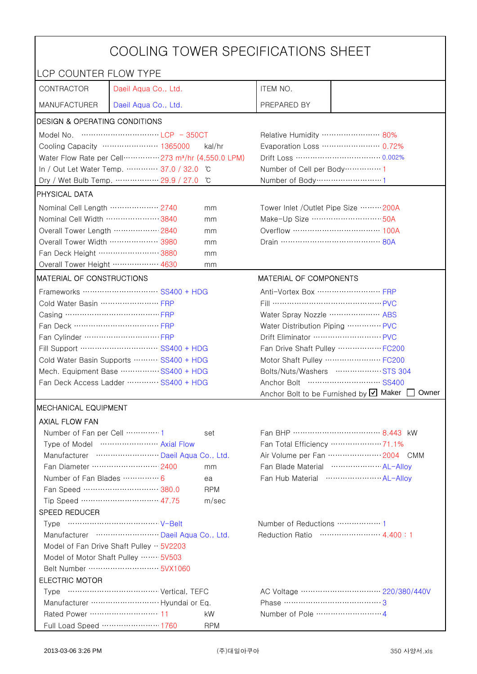| COOLING TOWER SPECIFICATIONS SHEET                                            |                                                                                                                                                                                                                                                                                                                                      |            |                                                   |                                                    |  |
|-------------------------------------------------------------------------------|--------------------------------------------------------------------------------------------------------------------------------------------------------------------------------------------------------------------------------------------------------------------------------------------------------------------------------------|------------|---------------------------------------------------|----------------------------------------------------|--|
| LCP COUNTER FLOW TYPE                                                         |                                                                                                                                                                                                                                                                                                                                      |            |                                                   |                                                    |  |
| CONTRACTOR                                                                    | Daeil Aqua Co., Ltd.                                                                                                                                                                                                                                                                                                                 |            | ITEM NO.                                          |                                                    |  |
| <b>MANUFACTURER</b>                                                           | Daeil Aqua Co., Ltd.                                                                                                                                                                                                                                                                                                                 |            | PREPARED BY                                       |                                                    |  |
| <b>DESIGN &amp; OPERATING CONDITIONS</b>                                      |                                                                                                                                                                                                                                                                                                                                      |            |                                                   |                                                    |  |
|                                                                               | Model No. $\cdots$ $\cdots$ $\cdots$ $\cdots$ $\cdots$ $\cdots$ $\cdots$ $\cdots$ $\cdots$ $\cdots$ $\cdots$ $\cdots$ $\cdots$ $\cdots$ $\cdots$ $\cdots$ $\cdots$ $\cdots$ $\cdots$ $\cdots$ $\cdots$ $\cdots$ $\cdots$ $\cdots$ $\cdots$ $\cdots$ $\cdots$ $\cdots$ $\cdots$ $\cdots$ $\cdots$ $\cdots$ $\cdots$ $\cdots$ $\cdots$ |            | Relative Humidity …………………… 80%                    |                                                    |  |
| Cooling Capacity ………………… 1365000<br>kal/hr                                    |                                                                                                                                                                                                                                                                                                                                      |            | Evaporation Loss ………………… 0.72%                    |                                                    |  |
| Water Flow Rate per Cell ··············· 273 m <sup>3</sup> /hr (4,550.0 LPM) |                                                                                                                                                                                                                                                                                                                                      |            |                                                   |                                                    |  |
|                                                                               | In / Out Let Water Temp.  37.0 / 32.0                                                                                                                                                                                                                                                                                                | C°         | Number of Cell per Body ··············· 1         |                                                    |  |
|                                                                               | Dry / Wet Bulb Temp.  29.9 / 27.0                                                                                                                                                                                                                                                                                                    | °C         | Number of Body ·······························1   |                                                    |  |
| PHYSICAL DATA                                                                 |                                                                                                                                                                                                                                                                                                                                      |            |                                                   |                                                    |  |
| Nominal Cell Length ……………… 2740                                               |                                                                                                                                                                                                                                                                                                                                      | mm         | Tower Inlet /Outlet Pipe Size ……… 200A            |                                                    |  |
| Nominal Cell Width 3840                                                       |                                                                                                                                                                                                                                                                                                                                      | mm         | Make-Up Size ································ 50A |                                                    |  |
| Overall Tower Length ……………… 2840                                              |                                                                                                                                                                                                                                                                                                                                      | mm         | Overflow …………………………… 100A                         |                                                    |  |
| Overall Tower Width ……………… 3980                                               |                                                                                                                                                                                                                                                                                                                                      | mm         |                                                   |                                                    |  |
| Fan Deck Height 3880                                                          |                                                                                                                                                                                                                                                                                                                                      | mm         |                                                   |                                                    |  |
| Overall Tower Height  4630                                                    |                                                                                                                                                                                                                                                                                                                                      | mm         |                                                   |                                                    |  |
| MATERIAL OF CONSTRUCTIONS                                                     |                                                                                                                                                                                                                                                                                                                                      |            | MATERIAL OF COMPONENTS                            |                                                    |  |
|                                                                               | Frameworks ………………………… SS400 + HDG                                                                                                                                                                                                                                                                                                    |            | Anti-Vortex Box  FRP                              |                                                    |  |
| Cold Water Basin  FRP                                                         |                                                                                                                                                                                                                                                                                                                                      |            | Fill …………………………………… PVC                           |                                                    |  |
|                                                                               |                                                                                                                                                                                                                                                                                                                                      |            | Water Spray Nozzle ………………… ABS                    |                                                    |  |
|                                                                               |                                                                                                                                                                                                                                                                                                                                      |            | Water Distribution Piping  PVC                    |                                                    |  |
|                                                                               |                                                                                                                                                                                                                                                                                                                                      |            | Drift Eliminator ……………………… PVC                    |                                                    |  |
| Fill Support ………………………… SS400 + HDG                                           |                                                                                                                                                                                                                                                                                                                                      |            | Fan Drive Shaft Pulley  FC200                     |                                                    |  |
| Cold Water Basin Supports  SS400 + HDG                                        |                                                                                                                                                                                                                                                                                                                                      |            |                                                   | Motor Shaft Pulley  FC200                          |  |
| Mech. Equipment Base SS400 + HDG                                              |                                                                                                                                                                                                                                                                                                                                      |            |                                                   | Bolts/Nuts/Washers  STS 304                        |  |
|                                                                               | Fan Deck Access Ladder ………… SS400 + HDG                                                                                                                                                                                                                                                                                              |            |                                                   |                                                    |  |
|                                                                               |                                                                                                                                                                                                                                                                                                                                      |            |                                                   | Anchor Bolt to be Furnished by Ø Maker [<br>Owner  |  |
| <b>MECHANICAL EQUIPMENT</b>                                                   |                                                                                                                                                                                                                                                                                                                                      |            |                                                   |                                                    |  |
| <b>AXIAL FLOW FAN</b>                                                         |                                                                                                                                                                                                                                                                                                                                      |            |                                                   |                                                    |  |
| Number of Fan per Cell  1                                                     |                                                                                                                                                                                                                                                                                                                                      | set        |                                                   |                                                    |  |
|                                                                               | Type of Model  Axial Flow                                                                                                                                                                                                                                                                                                            |            |                                                   | Fan Total Efficiency  71.1%                        |  |
|                                                                               | Manufacturer  Daeil Aqua Co., Ltd.                                                                                                                                                                                                                                                                                                   |            |                                                   | Air Volume per Fan  2004 CMM                       |  |
|                                                                               | Fan Diameter …………………… 2400                                                                                                                                                                                                                                                                                                           | mm         |                                                   | Fan Blade Material ······················ AL-Allov |  |
| Number of Fan Blades  6                                                       |                                                                                                                                                                                                                                                                                                                                      | ea         |                                                   |                                                    |  |
|                                                                               | Fan Speed ………………………… 380.0                                                                                                                                                                                                                                                                                                           | <b>RPM</b> |                                                   |                                                    |  |
|                                                                               | Tip Speed ………………………… 47.75                                                                                                                                                                                                                                                                                                           | m/sec      |                                                   |                                                    |  |
| SPEED REDUCER                                                                 |                                                                                                                                                                                                                                                                                                                                      |            |                                                   |                                                    |  |
|                                                                               |                                                                                                                                                                                                                                                                                                                                      |            | Number of Reductions  1                           |                                                    |  |
| Manufacturer  Daeil Aqua Co., Ltd.<br>Reduction Ratio …………………… 4.400:1        |                                                                                                                                                                                                                                                                                                                                      |            |                                                   |                                                    |  |
| Model of Fan Drive Shaft Pulley $\cdot \cdot$ 5V2203                          |                                                                                                                                                                                                                                                                                                                                      |            |                                                   |                                                    |  |
| Model of Motor Shaft Pulley  5V503                                            |                                                                                                                                                                                                                                                                                                                                      |            |                                                   |                                                    |  |
| <b>ELECTRIC MOTOR</b>                                                         |                                                                                                                                                                                                                                                                                                                                      |            |                                                   |                                                    |  |
|                                                                               |                                                                                                                                                                                                                                                                                                                                      |            |                                                   |                                                    |  |
|                                                                               |                                                                                                                                                                                                                                                                                                                                      |            | Phase ……………………………………3                             |                                                    |  |
| Rated Power ………………………… 11                                                     |                                                                                                                                                                                                                                                                                                                                      | kW         |                                                   |                                                    |  |
|                                                                               | Full Load Speed ………………… 1760                                                                                                                                                                                                                                                                                                         | <b>RPM</b> |                                                   |                                                    |  |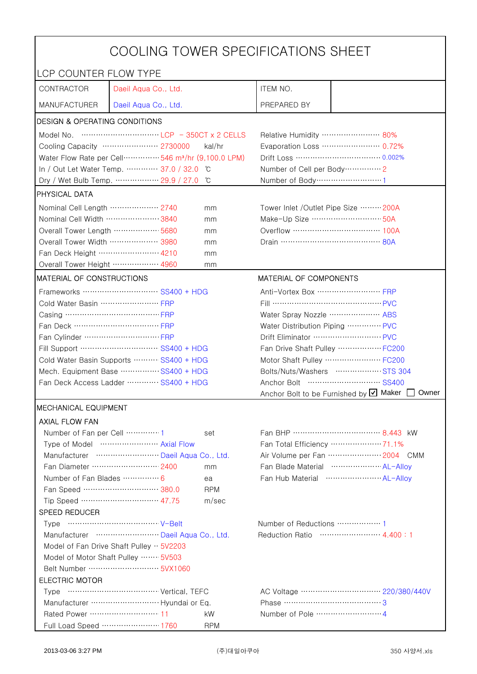| COOLING TOWER SPECIFICATIONS SHEET                   |                                                                                |                  |                                                 |                                                                                    |  |
|------------------------------------------------------|--------------------------------------------------------------------------------|------------------|-------------------------------------------------|------------------------------------------------------------------------------------|--|
| LCP COUNTER FLOW TYPE                                |                                                                                |                  |                                                 |                                                                                    |  |
| CONTRACTOR                                           | Daeil Aqua Co., Ltd.                                                           |                  | ITEM NO.                                        |                                                                                    |  |
| <b>MANUFACTURER</b>                                  | Daeil Aqua Co., Ltd.                                                           |                  | PREPARED BY                                     |                                                                                    |  |
| <b>DESIGN &amp; OPERATING CONDITIONS</b>             |                                                                                |                  |                                                 |                                                                                    |  |
|                                                      |                                                                                |                  | Relative Humidity …………………… 80%                  |                                                                                    |  |
|                                                      | Cooling Capacity ………………… 2730000                                               | kal/hr           | Evaporation Loss ………………… 0.72%                  |                                                                                    |  |
|                                                      | Water Flow Rate per Cell ················ 546 m <sup>3</sup> /hr (9,100.0 LPM) |                  |                                                 | Drift Loss …………………………… 0.002%                                                      |  |
|                                                      | In / Out Let Water Temp.  37.0 / 32.0 °C                                       |                  | Number of Cell per Body ··············· 2       |                                                                                    |  |
|                                                      | Dry / Wet Bulb Temp.  29.9 / 27.0                                              | °C               | Number of Body ·······························1 |                                                                                    |  |
| <b>PHYSICAL DATA</b>                                 |                                                                                |                  |                                                 |                                                                                    |  |
| Nominal Cell Length ……………… 2740                      |                                                                                | mm               | Tower Inlet /Outlet Pipe Size  200A             |                                                                                    |  |
| Nominal Cell Width 3840                              |                                                                                | mm               | Make-Up Size  50A                               |                                                                                    |  |
| Overall Tower Length ……………… 5680                     |                                                                                | mm               | Overflow …………………………… 100A                       |                                                                                    |  |
| Overall Tower Width  3980                            |                                                                                | mm               | Drain ………………………………… 80A                         |                                                                                    |  |
| Fan Deck Height …………………… 4210                        |                                                                                | mm               |                                                 |                                                                                    |  |
| Overall Tower Height  4960                           |                                                                                | mm               |                                                 |                                                                                    |  |
| MATERIAL OF CONSTRUCTIONS                            |                                                                                |                  | MATERIAL OF COMPONENTS                          |                                                                                    |  |
|                                                      | Frameworks ………………………… SS400 + HDG                                              |                  | Anti-Vortex Box …………………… FRP                    |                                                                                    |  |
| Cold Water Basin  FRP                                |                                                                                |                  |                                                 |                                                                                    |  |
| Casing …………………………………… FRP                            |                                                                                |                  | Water Spray Nozzle  ABS                         |                                                                                    |  |
| Fan Deck …………………………… FRP                             |                                                                                |                  | Water Distribution Piping  PVC                  |                                                                                    |  |
|                                                      |                                                                                |                  | Drift Eliminator  PVC                           |                                                                                    |  |
| Fill Support ………………………… SS400 + HDG                  |                                                                                |                  | Fan Drive Shaft Pulley  FC200                   |                                                                                    |  |
| Cold Water Basin Supports  SS400 + HDG               |                                                                                |                  |                                                 | Motor Shaft Pulley  FC200                                                          |  |
| Mech. Equipment Base SS400 + HDG                     |                                                                                |                  |                                                 | Bolts/Nuts/Washers  STS 304                                                        |  |
| Fan Deck Access Ladder  SS400 + HDG                  |                                                                                |                  |                                                 |                                                                                    |  |
|                                                      |                                                                                |                  |                                                 | Anchor Bolt to be Furnished by $\boxtimes$ Maker [<br>Owner                        |  |
| <b>IMECHANICAL EQUIPMENT</b>                         |                                                                                |                  |                                                 |                                                                                    |  |
| <b>AXIAL FLOW FAN</b>                                |                                                                                |                  |                                                 |                                                                                    |  |
| Number of Fan per Cell 1                             |                                                                                | set              |                                                 |                                                                                    |  |
|                                                      | Type of Model  Axial Flow                                                      |                  |                                                 | Fan Total Efficiency  71.1%                                                        |  |
|                                                      | Manufacturer  Daeil Aqua Co., Ltd.<br>Fan Diameter …………………… 2400               |                  |                                                 | Air Volume per Fan  2004 CMM<br>Fan Blade Material ······················ AL-Allov |  |
| Number of Fan Blades …………… 6                         |                                                                                | mm               |                                                 | Fan Hub Material  AL-Alloy                                                         |  |
|                                                      | Fan Speed ………………………… 380.0                                                     | ea<br><b>RPM</b> |                                                 |                                                                                    |  |
|                                                      | Tip Speed ………………………… 47.75                                                     | m/sec            |                                                 |                                                                                    |  |
| SPEED REDUCER                                        |                                                                                |                  |                                                 |                                                                                    |  |
|                                                      |                                                                                |                  | Number of Reductions  1                         |                                                                                    |  |
| Manufacturer  Daeil Aqua Co., Ltd.                   |                                                                                |                  | Reduction Ratio  4.400 : 1                      |                                                                                    |  |
| Model of Fan Drive Shaft Pulley $\cdot \cdot$ 5V2203 |                                                                                |                  |                                                 |                                                                                    |  |
| Model of Motor Shaft Pulley  5V503                   |                                                                                |                  |                                                 |                                                                                    |  |
| Belt Number ······························ 5VX1060   |                                                                                |                  |                                                 |                                                                                    |  |
| <b>ELECTRIC MOTOR</b>                                |                                                                                |                  |                                                 |                                                                                    |  |
|                                                      |                                                                                |                  |                                                 |                                                                                    |  |
|                                                      |                                                                                |                  |                                                 |                                                                                    |  |
|                                                      |                                                                                | kW               |                                                 |                                                                                    |  |
|                                                      | Full Load Speed ………………… 1760                                                   | <b>RPM</b>       |                                                 |                                                                                    |  |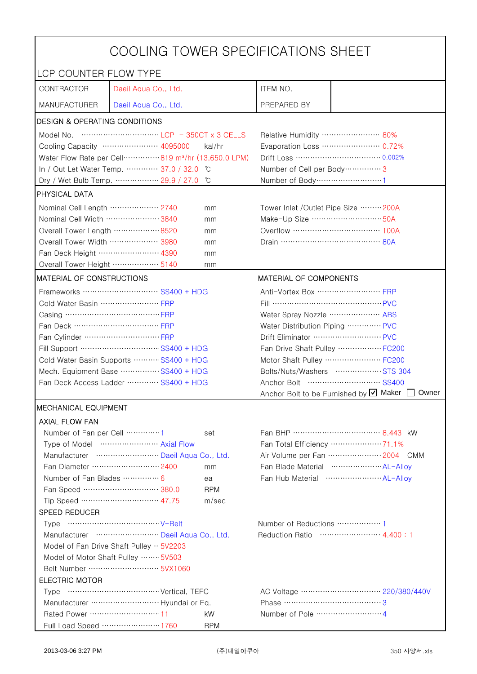| COOLING TOWER SPECIFICATIONS SHEET                                             |                                    |            |                                                |                                                      |  |
|--------------------------------------------------------------------------------|------------------------------------|------------|------------------------------------------------|------------------------------------------------------|--|
| LCP COUNTER FLOW TYPE                                                          |                                    |            |                                                |                                                      |  |
| CONTRACTOR                                                                     | Daeil Aqua Co., Ltd.               |            | ITEM NO.                                       |                                                      |  |
| <b>MANUFACTURER</b>                                                            | Daeil Aqua Co., Ltd.               |            | PREPARED BY                                    |                                                      |  |
| DESIGN & OPERATING CONDITIONS                                                  |                                    |            |                                                |                                                      |  |
|                                                                                |                                    |            | Relative Humidity …………………… 80%                 |                                                      |  |
|                                                                                | Cooling Capacity ………………… 4095000   | kal/hr     |                                                | Evaporation Loss ………………… 0.72%                       |  |
| Water Flow Rate per Cell ··············· 819 m <sup>3</sup> /hr (13,650.0 LPM) |                                    |            |                                                |                                                      |  |
| In / Out Let Water Temp.  37.0 / 32.0<br>°C                                    |                                    |            | Number of Cell per Body ················ 3     |                                                      |  |
|                                                                                | Dry / Wet Bulb Temp.  29.9 / 27.0  | °C         | Number of Body ······························1 |                                                      |  |
| <b>PHYSICAL DATA</b>                                                           |                                    |            |                                                |                                                      |  |
| Nominal Cell Length ……………… 2740<br>mm                                          |                                    |            | Tower Inlet /Outlet Pipe Size  200A            |                                                      |  |
| Nominal Cell Width 3840                                                        |                                    | mm         | Make-Up Size ………………………… 50A                    |                                                      |  |
| Overall Tower Length  8520                                                     |                                    | mm         |                                                |                                                      |  |
| Overall Tower Width ……………… 3980                                                |                                    | mm         | Drain ………………………………… 80A                        |                                                      |  |
| Fan Deck Height …………………… 4390                                                  |                                    | mm         |                                                |                                                      |  |
| Overall Tower Height ……………… 5140                                               |                                    | mm         |                                                |                                                      |  |
| <b>MATERIAL OF CONSTRUCTIONS</b>                                               |                                    |            | MATERIAL OF COMPONENTS                         |                                                      |  |
|                                                                                | Frameworks ……………………… SS400 + HDG   |            | Anti-Vortex Box ……………………… FRP                  |                                                      |  |
| Cold Water Basin  FRP                                                          |                                    |            | Fill …………………………………… PVC                        |                                                      |  |
| Casing ………………………………… FRP                                                       |                                    |            | Water Spray Nozzle ………………… ABS                 |                                                      |  |
| Fan Deck …………………………… FRP                                                       |                                    |            | Water Distribution Piping  PVC                 |                                                      |  |
|                                                                                |                                    |            | Drift Eliminator ……………………… PVC                 |                                                      |  |
| Fill Support ………………………… SS400 + HDG                                            |                                    |            | Fan Drive Shaft Pulley  FC200                  |                                                      |  |
| Cold Water Basin Supports  SS400 + HDG                                         |                                    |            | Motor Shaft Pulley  FC200                      |                                                      |  |
| Mech. Equipment Base SS400 + HDG                                               |                                    |            | Bolts/Nuts/Washers  STS 304                    |                                                      |  |
| Fan Deck Access Ladder ………… SS400 + HDG                                        |                                    |            |                                                |                                                      |  |
|                                                                                |                                    |            |                                                | Anchor Bolt to be Furnished by Ø Maker<br>Owner      |  |
| <b>MECHANICAL EQUIPMENT</b>                                                    |                                    |            |                                                |                                                      |  |
| <b>AXIAL FLOW FAN</b>                                                          |                                    |            |                                                |                                                      |  |
| Number of Fan per Cell 1                                                       |                                    | set        |                                                |                                                      |  |
|                                                                                | Type of Model  Axial Flow          |            |                                                | Fan Total Efficiency ………………… 71.1%                   |  |
|                                                                                | Manufacturer  Daeil Aqua Co., Ltd. |            |                                                | Air Volume per Fan  2004 CMM                         |  |
|                                                                                | Fan Diameter ……………………… 2400        | mm         |                                                | Fan Blade Material  AL-Allov                         |  |
| Number of Fan Blades  6                                                        |                                    | ea         |                                                | Fan Hub Material ·························· AL-Allov |  |
|                                                                                | Fan Speed ………………………… 380.0         | <b>RPM</b> |                                                |                                                      |  |
|                                                                                | Tip Speed ………………………… 47.75         | m/sec      |                                                |                                                      |  |
| SPEED REDUCER                                                                  |                                    |            |                                                |                                                      |  |
|                                                                                |                                    |            |                                                |                                                      |  |
| Manufacturer  Daeil Aqua Co., Ltd.<br>Reduction Ratio …………………… 4.400:1         |                                    |            |                                                |                                                      |  |
| Model of Fan Drive Shaft Pulley $\cdot \cdot$ 5V2203                           |                                    |            |                                                |                                                      |  |
| Model of Motor Shaft Pulley  5V503                                             |                                    |            |                                                |                                                      |  |
| <b>ELECTRIC MOTOR</b>                                                          |                                    |            |                                                |                                                      |  |
|                                                                                |                                    |            |                                                |                                                      |  |
|                                                                                |                                    |            |                                                |                                                      |  |
| Rated Power ………………………… 11                                                      |                                    | kW         |                                                |                                                      |  |
|                                                                                | Full Load Speed ………………… 1760       | <b>RPM</b> |                                                |                                                      |  |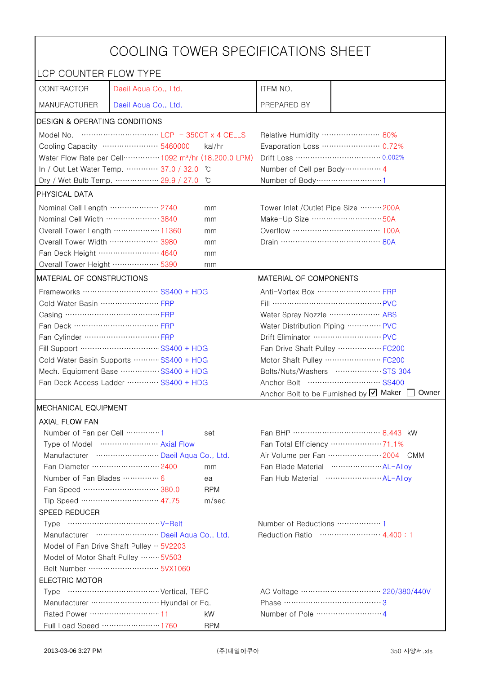| COOLING TOWER SPECIFICATIONS SHEET                                             |                                       |                                  |                                                     |                                                      |  |
|--------------------------------------------------------------------------------|---------------------------------------|----------------------------------|-----------------------------------------------------|------------------------------------------------------|--|
|                                                                                | LCP COUNTER FLOW TYPE                 |                                  |                                                     |                                                      |  |
| CONTRACTOR                                                                     | Daeil Aqua Co., Ltd.                  |                                  | ITEM NO.                                            |                                                      |  |
| <b>MANUFACTURER</b>                                                            | Daeil Aqua Co., Ltd.                  |                                  | PREPARED BY                                         |                                                      |  |
| DESIGN & OPERATING CONDITIONS                                                  |                                       |                                  |                                                     |                                                      |  |
|                                                                                |                                       |                                  | Relative Humidity …………………… 80%                      |                                                      |  |
|                                                                                | Cooling Capacity …………………… 5460000     | kal/hr                           |                                                     | Evaporation Loss ………………… 0.72%                       |  |
| Water Flow Rate per Cell ·············· 1092 m <sup>3</sup> /hr (18,200.0 LPM) |                                       |                                  |                                                     | Drift Loss …………………………… 0.002%                        |  |
|                                                                                | In / Out Let Water Temp.  37.0 / 32.0 | °C                               | Number of Cell per Body ··············· 4           |                                                      |  |
|                                                                                | Dry / Wet Bulb Temp.  29.9 / 27.0     | °C                               | Number of Body ······························1      |                                                      |  |
| <b>PHYSICAL DATA</b>                                                           |                                       |                                  |                                                     |                                                      |  |
| Nominal Cell Length ……………… 2740                                                |                                       | mm                               | Tower Inlet /Outlet Pipe Size  200A                 |                                                      |  |
| Nominal Cell Width 3840                                                        |                                       | mm                               | Make-Up Size ………………………… 50A                         |                                                      |  |
|                                                                                | Overall Tower Length ……………… 11360     | mm                               | Overflow …………………………… 100A                           |                                                      |  |
| Overall Tower Width ………………… 3980                                               |                                       | mm                               | Drain ………………………………… 80A                             |                                                      |  |
| Fan Deck Height …………………… 4640                                                  |                                       | mm                               |                                                     |                                                      |  |
| Overall Tower Height  5390                                                     |                                       | mm                               |                                                     |                                                      |  |
| <b>MATERIAL OF CONSTRUCTIONS</b>                                               |                                       |                                  | MATERIAL OF COMPONENTS                              |                                                      |  |
|                                                                                | Frameworks ……………………… SS400 + HDG      |                                  | Anti-Vortex Box ······························· FRP |                                                      |  |
| Cold Water Basin  FRP                                                          |                                       |                                  | Fill …………………………………… PVC                             |                                                      |  |
| Casing ………………………………… FRP                                                       |                                       |                                  | Water Spray Nozzle ………………… ABS                      |                                                      |  |
| Fan Deck …………………………… FRP                                                       |                                       | Water Distribution Piping  PVC   |                                                     |                                                      |  |
|                                                                                |                                       |                                  | Drift Eliminator ……………………… PVC                      |                                                      |  |
| Fill Support ………………………… SS400 + HDG                                            |                                       | Fan Drive Shaft Pulley  FC200    |                                                     |                                                      |  |
| Cold Water Basin Supports  SS400 + HDG                                         |                                       |                                  | Motor Shaft Pulley  FC200                           |                                                      |  |
| Mech. Equipment Base SS400 + HDG                                               |                                       |                                  | Bolts/Nuts/Washers  STS 304                         |                                                      |  |
| Fan Deck Access Ladder ………… SS400 + HDG                                        |                                       |                                  |                                                     |                                                      |  |
|                                                                                |                                       |                                  |                                                     | Anchor Bolt to be Furnished by Ø Maker<br>Owner      |  |
| <b>MECHANICAL EQUIPMENT</b>                                                    |                                       |                                  |                                                     |                                                      |  |
| <b>AXIAL FLOW FAN</b>                                                          |                                       |                                  |                                                     |                                                      |  |
| Number of Fan per Cell 1                                                       |                                       | set                              |                                                     |                                                      |  |
|                                                                                | Type of Model  Axial Flow             |                                  |                                                     | Fan Total Efficiency ………………… 71.1%                   |  |
|                                                                                | Manufacturer  Daeil Aqua Co., Ltd.    |                                  |                                                     | Air Volume per Fan  2004 CMM                         |  |
|                                                                                | Fan Diameter ……………………… 2400           | mm                               |                                                     | Fan Blade Material  AL-Allov                         |  |
| Number of Fan Blades  6                                                        |                                       | ea                               |                                                     | Fan Hub Material ·························· AL-Allov |  |
|                                                                                | Fan Speed ………………………… 380.0            | <b>RPM</b>                       |                                                     |                                                      |  |
|                                                                                | Tip Speed ………………………… 47.75            | m/sec                            |                                                     |                                                      |  |
| SPEED REDUCER                                                                  |                                       |                                  |                                                     |                                                      |  |
|                                                                                |                                       | Reduction Ratio …………………… 4.400:1 |                                                     |                                                      |  |
| Manufacturer  Daeil Aqua Co., Ltd.                                             |                                       |                                  |                                                     |                                                      |  |
| Model of Fan Drive Shaft Pulley $\cdot \cdot$ 5V2203                           |                                       |                                  |                                                     |                                                      |  |
| Model of Motor Shaft Pulley  5V503                                             |                                       |                                  |                                                     |                                                      |  |
| <b>ELECTRIC MOTOR</b>                                                          |                                       |                                  |                                                     |                                                      |  |
|                                                                                |                                       |                                  |                                                     |                                                      |  |
|                                                                                |                                       |                                  |                                                     |                                                      |  |
| Rated Power ………………………… 11                                                      |                                       | kW                               |                                                     |                                                      |  |
|                                                                                | Full Load Speed ………………… 1760          | <b>RPM</b>                       |                                                     |                                                      |  |